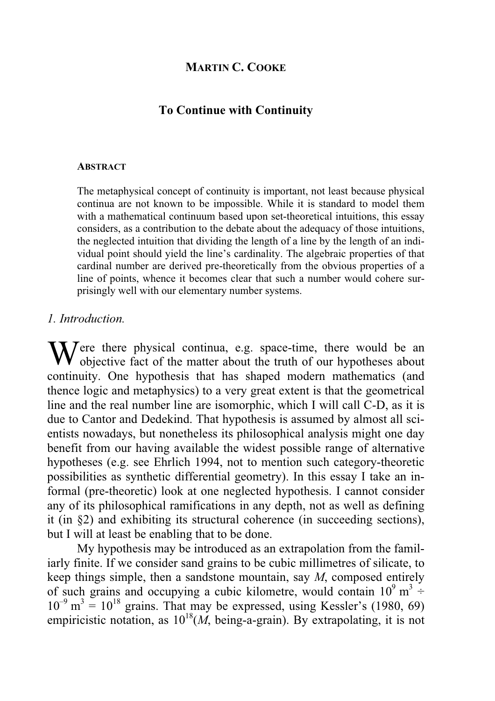# **MARTIN C. COOKE**

## **To Continue with Continuity**

#### **ABSTRACT**

The metaphysical concept of continuity is important, not least because physical continua are not known to be impossible. While it is standard to model them with a mathematical continuum based upon set-theoretical intuitions, this essay considers, as a contribution to the debate about the adequacy of those intuitions, the neglected intuition that dividing the length of a line by the length of an individual point should yield the line's cardinality. The algebraic properties of that cardinal number are derived pre-theoretically from the obvious properties of a line of points, whence it becomes clear that such a number would cohere surprisingly well with our elementary number systems.

### *1. Introduction.*

ere there physical continua, e.g. space-time, there would be an Were there physical continua, e.g. space-time, there would be an objective fact of the matter about the truth of our hypotheses about continuity. One hypothesis that has shaped modern mathematics (and thence logic and metaphysics) to a very great extent is that the geometrical line and the real number line are isomorphic, which I will call C-D, as it is due to Cantor and Dedekind. That hypothesis is assumed by almost all scientists nowadays, but nonetheless its philosophical analysis might one day benefit from our having available the widest possible range of alternative hypotheses (e.g. see Ehrlich 1994, not to mention such category-theoretic possibilities as synthetic differential geometry). In this essay I take an informal (pre-theoretic) look at one neglected hypothesis. I cannot consider any of its philosophical ramifications in any depth, not as well as defining it (in §2) and exhibiting its structural coherence (in succeeding sections), but I will at least be enabling that to be done.

 My hypothesis may be introduced as an extrapolation from the familiarly finite. If we consider sand grains to be cubic millimetres of silicate, to keep things simple, then a sandstone mountain, say *M*, composed entirely of such grains and occupying a cubic kilometre, would contain  $10^9 \text{ m}^3 \div$  $10^{-9}$  m<sup>3</sup> =  $10^{18}$  grains. That may be expressed, using Kessler's (1980, 69) empiricistic notation, as  $10^{18}(M)$ , being-a-grain). By extrapolating, it is not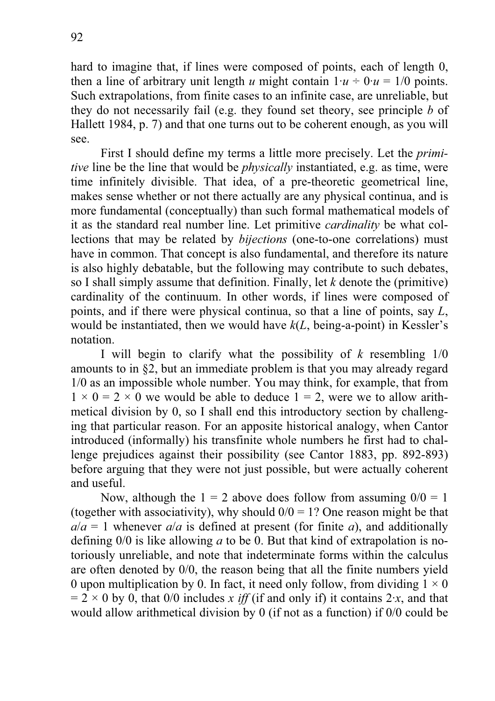hard to imagine that, if lines were composed of points, each of length 0, then a line of arbitrary unit length *u* might contain  $1 \cdot u \div 0 \cdot u = 1/0$  points. Such extrapolations, from finite cases to an infinite case, are unreliable, but they do not necessarily fail (e.g. they found set theory, see principle *b* of Hallett 1984, p. 7) and that one turns out to be coherent enough, as you will see.

 First I should define my terms a little more precisely. Let the *primitive* line be the line that would be *physically* instantiated, e.g. as time, were time infinitely divisible. That idea, of a pre-theoretic geometrical line, makes sense whether or not there actually are any physical continua, and is more fundamental (conceptually) than such formal mathematical models of it as the standard real number line. Let primitive *cardinality* be what collections that may be related by *bijections* (one-to-one correlations) must have in common. That concept is also fundamental, and therefore its nature is also highly debatable, but the following may contribute to such debates, so I shall simply assume that definition. Finally, let *k* denote the (primitive) cardinality of the continuum. In other words, if lines were composed of points, and if there were physical continua, so that a line of points, say *L*, would be instantiated, then we would have *k*(*L*, being-a-point) in Kessler's notation.

 I will begin to clarify what the possibility of *k* resembling 1/0 amounts to in §2, but an immediate problem is that you may already regard 1/0 as an impossible whole number. You may think, for example, that from  $1 \times 0 = 2 \times 0$  we would be able to deduce  $1 = 2$ , were we to allow arithmetical division by 0, so I shall end this introductory section by challenging that particular reason. For an apposite historical analogy, when Cantor introduced (informally) his transfinite whole numbers he first had to challenge prejudices against their possibility (see Cantor 1883, pp. 892-893) before arguing that they were not just possible, but were actually coherent and useful.

Now, although the  $1 = 2$  above does follow from assuming  $0/0 = 1$ (together with associativity), why should  $0/0 = 1$ ? One reason might be that  $a/a = 1$  whenever  $a/a$  is defined at present (for finite *a*), and additionally defining 0/0 is like allowing *a* to be 0. But that kind of extrapolation is notoriously unreliable, and note that indeterminate forms within the calculus are often denoted by 0/0, the reason being that all the finite numbers yield 0 upon multiplication by 0. In fact, it need only follow, from dividing  $1 \times 0$  $= 2 \times 0$  by 0, that 0/0 includes *x iff* (if and only if) it contains 2*x*, and that would allow arithmetical division by 0 (if not as a function) if 0/0 could be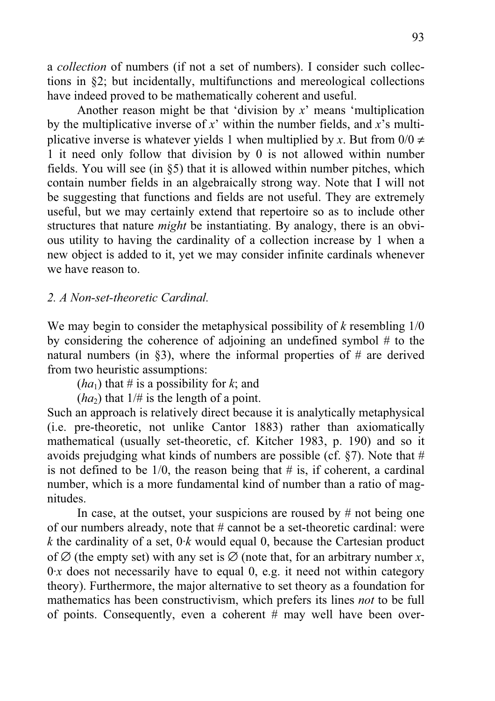a *collection* of numbers (if not a set of numbers). I consider such collections in §2; but incidentally, multifunctions and mereological collections have indeed proved to be mathematically coherent and useful.

 Another reason might be that 'division by *x*' means 'multiplication by the multiplicative inverse of *x*' within the number fields, and *x*'s multiplicative inverse is whatever yields 1 when multiplied by *x*. But from  $0/0 \neq$ 1 it need only follow that division by 0 is not allowed within number fields. You will see (in §5) that it is allowed within number pitches, which contain number fields in an algebraically strong way. Note that I will not be suggesting that functions and fields are not useful. They are extremely useful, but we may certainly extend that repertoire so as to include other structures that nature *might* be instantiating. By analogy, there is an obvious utility to having the cardinality of a collection increase by 1 when a new object is added to it, yet we may consider infinite cardinals whenever we have reason to.

### *2. A Non-set-theoretic Cardinal.*

We may begin to consider the metaphysical possibility of *k* resembling 1/0 by considering the coherence of adjoining an undefined symbol # to the natural numbers (in  $\S$ 3), where the informal properties of # are derived from two heuristic assumptions:

 $(ha<sub>1</sub>)$  that # is a possibility for *k*; and

 $(ha_2)$  that  $1/\#$  is the length of a point.

Such an approach is relatively direct because it is analytically metaphysical (i.e. pre-theoretic, not unlike Cantor 1883) rather than axiomatically mathematical (usually set-theoretic, cf. Kitcher 1983, p. 190) and so it avoids prejudging what kinds of numbers are possible (cf.  $\S$ 7). Note that # is not defined to be  $1/0$ , the reason being that  $\#$  is, if coherent, a cardinal number, which is a more fundamental kind of number than a ratio of magnitudes.

 In case, at the outset, your suspicions are roused by # not being one of our numbers already, note that # cannot be a set-theoretic cardinal: were *k* the cardinality of a set,  $0 \cdot k$  would equal 0, because the Cartesian product of  $\varnothing$  (the empty set) with any set is  $\varnothing$  (note that, for an arbitrary number *x*,  $0 \times x$  does not necessarily have to equal 0, e.g. it need not within category theory). Furthermore, the major alternative to set theory as a foundation for mathematics has been constructivism, which prefers its lines *not* to be full of points. Consequently, even a coherent # may well have been over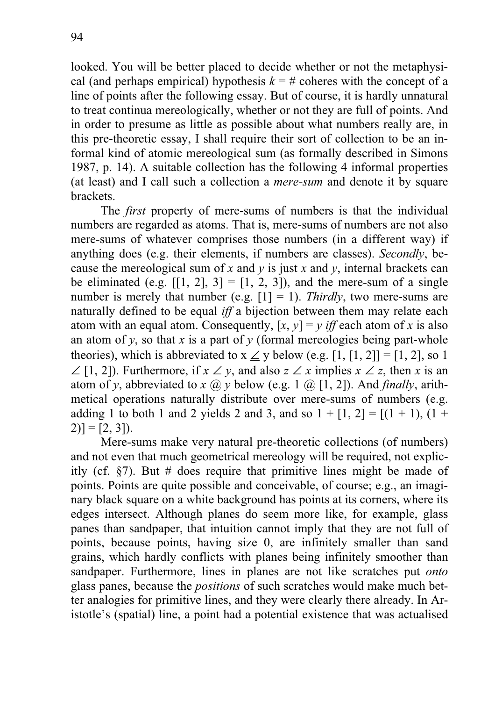looked. You will be better placed to decide whether or not the metaphysical (and perhaps empirical) hypothesis  $k = #$  coheres with the concept of a line of points after the following essay. But of course, it is hardly unnatural to treat continua mereologically, whether or not they are full of points. And in order to presume as little as possible about what numbers really are, in this pre-theoretic essay, I shall require their sort of collection to be an informal kind of atomic mereological sum (as formally described in Simons 1987, p. 14). A suitable collection has the following 4 informal properties (at least) and I call such a collection a *mere-sum* and denote it by square brackets.

 The *first* property of mere-sums of numbers is that the individual numbers are regarded as atoms. That is, mere-sums of numbers are not also mere-sums of whatever comprises those numbers (in a different way) if anything does (e.g. their elements, if numbers are classes). *Secondly*, because the mereological sum of *x* and *y* is just *x* and *y*, internal brackets can be eliminated (e.g.  $[1, 2], 3] = [1, 2, 3]$ ), and the mere-sum of a single number is merely that number (e.g.  $[1] = 1$ ). *Thirdly*, two mere-sums are naturally defined to be equal *iff* a bijection between them may relate each atom with an equal atom. Consequently,  $[x, y] = y$  *iff* each atom of *x* is also an atom of *y*, so that *x* is a part of *y* (formal mereologies being part-whole theories), which is abbreviated to  $x \leq y$  below (e.g. [1, [1, 2]] = [1, 2], so 1 ∠ [1, 2]). Furthermore, if  $x \angle y$ , and also  $z \angle x$  implies  $x \angle z$ , then x is an atom of *y*, abbreviated to *x* @ *y* below (e.g. 1 @ [1, 2]). And *finally*, arithmetical operations naturally distribute over mere-sums of numbers (e.g. adding 1 to both 1 and 2 yields 2 and 3, and so  $1 + [1, 2] = [(1 + 1), (1 +$  $[2]$ ] = [2, 3]).

 Mere-sums make very natural pre-theoretic collections (of numbers) and not even that much geometrical mereology will be required, not explicitly (cf.  $\frac{1}{2}$ ). But # does require that primitive lines might be made of points. Points are quite possible and conceivable, of course; e.g., an imaginary black square on a white background has points at its corners, where its edges intersect. Although planes do seem more like, for example, glass panes than sandpaper, that intuition cannot imply that they are not full of points, because points, having size 0, are infinitely smaller than sand grains, which hardly conflicts with planes being infinitely smoother than sandpaper. Furthermore, lines in planes are not like scratches put *onto* glass panes, because the *positions* of such scratches would make much better analogies for primitive lines, and they were clearly there already. In Aristotle's (spatial) line, a point had a potential existence that was actualised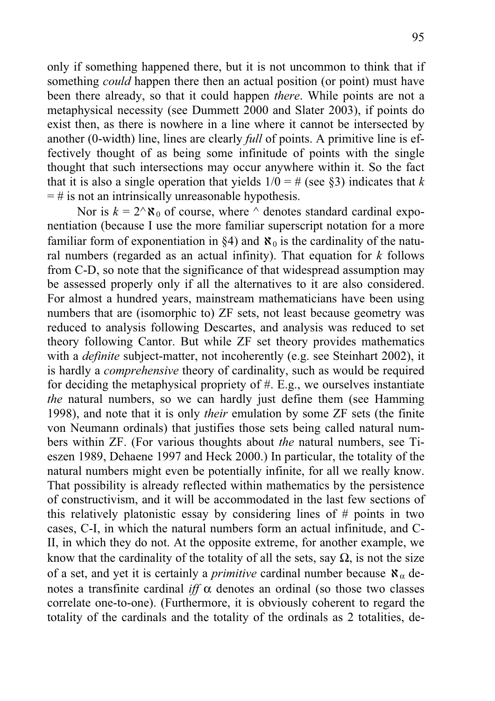only if something happened there, but it is not uncommon to think that if something *could* happen there then an actual position (or point) must have been there already, so that it could happen *there*. While points are not a metaphysical necessity (see Dummett 2000 and Slater 2003), if points do exist then, as there is nowhere in a line where it cannot be intersected by another (0-width) line, lines are clearly *full* of points. A primitive line is effectively thought of as being some infinitude of points with the single thought that such intersections may occur anywhere within it. So the fact that it is also a single operation that yields  $1/0 = #$  (see §3) indicates that *k*  $=$  # is not an intrinsically unreasonable hypothesis.

Nor is  $k = 2^x \aleph_0$  of course, where  $\wedge$  denotes standard cardinal exponentiation (because I use the more familiar superscript notation for a more familiar form of exponentiation in  $\S 4$ ) and  $\aleph_0$  is the cardinality of the natural numbers (regarded as an actual infinity). That equation for *k* follows from C-D, so note that the significance of that widespread assumption may be assessed properly only if all the alternatives to it are also considered. For almost a hundred years, mainstream mathematicians have been using numbers that are (isomorphic to) ZF sets, not least because geometry was reduced to analysis following Descartes, and analysis was reduced to set theory following Cantor. But while ZF set theory provides mathematics with a *definite* subject-matter, not incoherently (e.g. see Steinhart 2002), it is hardly a *comprehensive* theory of cardinality, such as would be required for deciding the metaphysical propriety of  $#$ . E.g., we ourselves instantiate *the* natural numbers, so we can hardly just define them (see Hamming 1998), and note that it is only *their* emulation by some ZF sets (the finite von Neumann ordinals) that justifies those sets being called natural numbers within ZF. (For various thoughts about *the* natural numbers, see Tieszen 1989, Dehaene 1997 and Heck 2000.) In particular, the totality of the natural numbers might even be potentially infinite, for all we really know. That possibility is already reflected within mathematics by the persistence of constructivism, and it will be accommodated in the last few sections of this relatively platonistic essay by considering lines of # points in two cases, C-I, in which the natural numbers form an actual infinitude, and C-II, in which they do not. At the opposite extreme, for another example, we know that the cardinality of the totality of all the sets, say  $\Omega$ , is not the size of a set, and yet it is certainly a *primitive* cardinal number because  $\aleph_{\alpha}$  denotes a transfinite cardinal *iff* α denotes an ordinal (so those two classes correlate one-to-one). (Furthermore, it is obviously coherent to regard the totality of the cardinals and the totality of the ordinals as 2 totalities, de-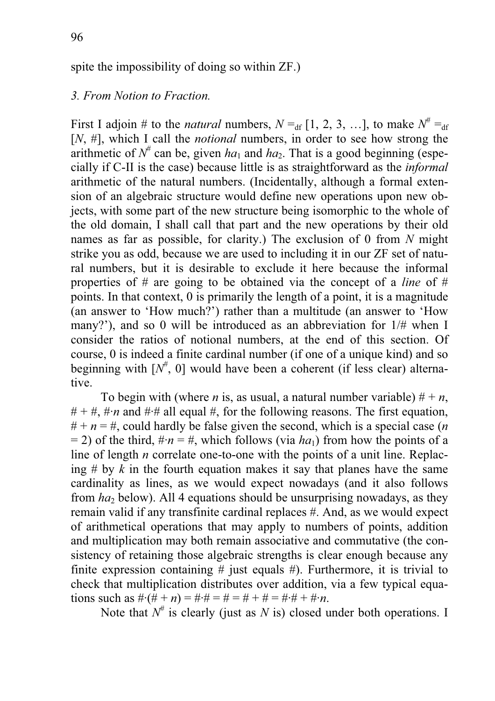## *3. From Notion to Fraction.*

First I adjoin # to the *natural* numbers,  $N =_{df} [1, 2, 3, ...]$ , to make  $N^* =_{df} I$ [*N*, #], which I call the *notional* numbers, in order to see how strong the arithmetic of  $N^*$  can be, given  $ha_1$  and  $ha_2$ . That is a good beginning (especially if C-II is the case) because little is as straightforward as the *informal* arithmetic of the natural numbers. (Incidentally, although a formal extension of an algebraic structure would define new operations upon new objects, with some part of the new structure being isomorphic to the whole of the old domain, I shall call that part and the new operations by their old names as far as possible, for clarity.) The exclusion of 0 from *N* might strike you as odd, because we are used to including it in our ZF set of natural numbers, but it is desirable to exclude it here because the informal properties of # are going to be obtained via the concept of a *line* of # points. In that context, 0 is primarily the length of a point, it is a magnitude (an answer to 'How much?') rather than a multitude (an answer to 'How many?'), and so 0 will be introduced as an abbreviation for 1/# when I consider the ratios of notional numbers, at the end of this section. Of course, 0 is indeed a finite cardinal number (if one of a unique kind) and so beginning with  $[N^{\#}, 0]$  would have been a coherent (if less clear) alternative.

To begin with (where *n* is, as usual, a natural number variable)  $# + n$ ,  $# + #$ ,  $#·n$  and  $#·#$  all equal  $#$ , for the following reasons. The first equation,  $# + n = #$ , could hardly be false given the second, which is a special case (*n*)  $= 2$ ) of the third,  $\#n = \#$ , which follows (via *ha*<sub>1</sub>) from how the points of a line of length *n* correlate one-to-one with the points of a unit line. Replacing  $\#$  by  $k$  in the fourth equation makes it say that planes have the same cardinality as lines, as we would expect nowadays (and it also follows from *ha*<sub>2</sub> below). All 4 equations should be unsurprising nowadays, as they remain valid if any transfinite cardinal replaces #. And, as we would expect of arithmetical operations that may apply to numbers of points, addition and multiplication may both remain associative and commutative (the consistency of retaining those algebraic strengths is clear enough because any finite expression containing  $#$  just equals  $#$ ). Furthermore, it is trivial to check that multiplication distributes over addition, via a few typical equations such as  $\#(\hat{H} + n) = \# \hat{H} = \hat{H} + \hat{H} = \hat{H} \hat{H} + \hat{H} \hat{H}$ .

Note that  $N^{\#}$  is clearly (just as *N* is) closed under both operations. I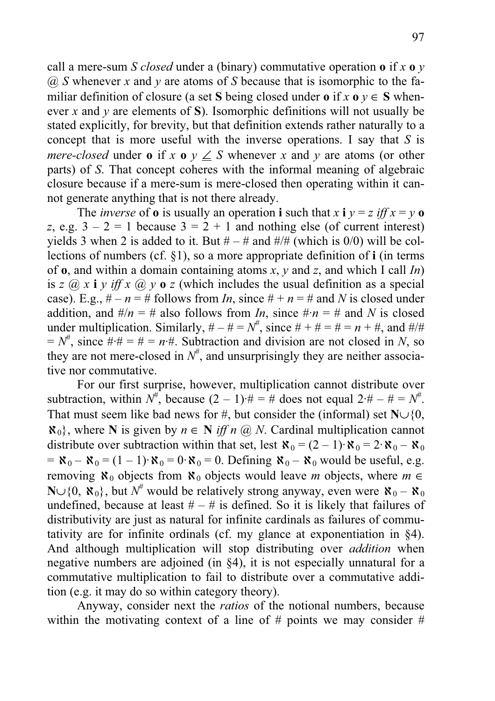call a mere-sum *S closed* under a (binary) commutative operation **o** if *x* **o** *y* @ *S* whenever *x* and *y* are atoms of *S* because that is isomorphic to the familiar definition of closure (a set S being closed under **o** if  $x \textbf{0} y \in S$  whenever *x* and *y* are elements of **S**). Isomorphic definitions will not usually be stated explicitly, for brevity, but that definition extends rather naturally to a concept that is more useful with the inverse operations. I say that *S* is *mere-closed* under **o** if  $x \text{ o } y \leq S$  whenever  $x$  and  $y$  are atoms (or other parts) of *S*. That concept coheres with the informal meaning of algebraic closure because if a mere-sum is mere-closed then operating within it cannot generate anything that is not there already.

The *inverse* of **o** is usually an operation **i** such that  $x \mathbf{i} y = z \mathbf{i} f f x = y \mathbf{o}$ *z*, e.g.  $3 - 2 = 1$  because  $3 = 2 + 1$  and nothing else (of current interest) yields 3 when 2 is added to it. But  $# - #$  and  $#/#$  (which is 0/0) will be collections of numbers (cf. §1), so a more appropriate definition of **i** (in terms of **o**, and within a domain containing atoms *x*, *y* and *z*, and which I call *In*) is *z*  $\omega$  *x* **i** *y iff x*  $\omega$  *y* **o** *z* (which includes the usual definition as a special case). E.g.,  $\# - n = \#$  follows from *In*, since  $\# + n = \#$  and *N* is closed under addition, and  $\#/n = \#$  also follows from *In*, since  $\# \cdot n = \#$  and *N* is closed under multiplication. Similarly,  $# - # = N^{\#}$ , since  $# + # = # = n + #$ , and  $#/#$  $N^{\#}$ , since  $\# \# = \# = n \#$ . Subtraction and division are not closed in *N*, so they are not mere-closed in  $N^{\#}$ , and unsurprisingly they are neither associative nor commutative.

 For our first surprise, however, multiplication cannot distribute over subtraction, within  $N^{\#}$ , because  $(2-1)^{\#} = \#$  does not equal  $2^{\#} - \# = N^{\#}$ . That must seem like bad news for #, but consider the (informal) set  $\mathbb{N}\cup\{0,$  $\mathbf{X}_0$ , where **N** is given by  $n \in \mathbb{N}$  *iff n @ N*. Cardinal multiplication cannot distribute over subtraction within that set, lest  $\aleph_0 = (2 - 1) \cdot \aleph_0 = 2 \cdot \aleph_0 - \aleph_0$  $= \mathbf{X}_0 - \mathbf{X}_0 = (1 - 1) \cdot \mathbf{X}_0 = 0 \cdot \mathbf{X}_0 = 0$ . Defining  $\mathbf{X}_0 - \mathbf{X}_0$  would be useful, e.g. removing  $\aleph_0$  objects from  $\aleph_0$  objects would leave *m* objects, where  $m \in$ N∪{0,  $\mathbf{X}_0$ }, but  $N^{\#}$  would be relatively strong anyway, even were  $\mathbf{X}_0 - \mathbf{X}_0$ undefined, because at least  $# - #$  is defined. So it is likely that failures of distributivity are just as natural for infinite cardinals as failures of commutativity are for infinite ordinals (cf. my glance at exponentiation in §4). And although multiplication will stop distributing over *addition* when negative numbers are adjoined (in §4), it is not especially unnatural for a commutative multiplication to fail to distribute over a commutative addition (e.g. it may do so within category theory).

 Anyway, consider next the *ratios* of the notional numbers, because within the motivating context of a line of  $#$  points we may consider  $#$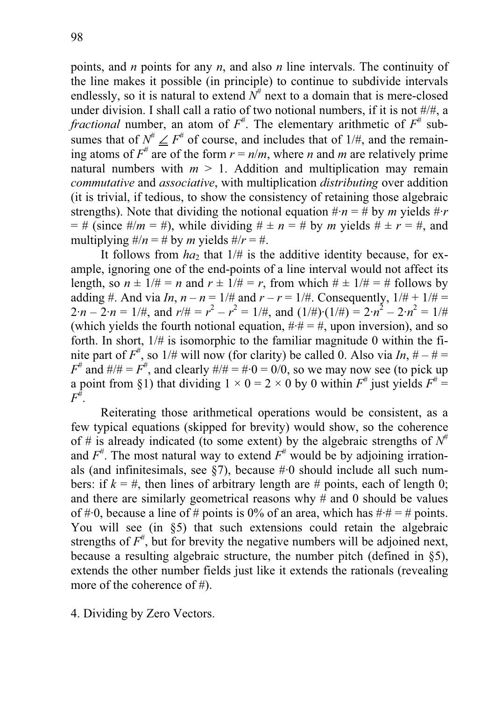points, and *n* points for any *n*, and also *n* line intervals. The continuity of the line makes it possible (in principle) to continue to subdivide intervals endlessly, so it is natural to extend  $N^{\#}$  next to a domain that is mere-closed under division. I shall call a ratio of two notional numbers, if it is not #/#, a *fractional* number, an atom of  $F^*$ . The elementary arithmetic of  $F^*$  subsumes that of  $N^{\#} \leq F^{\#}$  of course, and includes that of 1/#, and the remaining atoms of  $F^*$  are of the form  $r = n/m$ , where *n* and *m* are relatively prime natural numbers with  $m > 1$ . Addition and multiplication may remain *commutative* and *associative*, with multiplication *distributing* over addition (it is trivial, if tedious, to show the consistency of retaining those algebraic strengths). Note that dividing the notional equation  $\# n = \#$  by *m* yields  $\# r$  $= #$  (since  $\#/m = #$ ), while dividing  $\# \pm n = #$  by *m* yields  $\# \pm r = #$ , and multiplying  $\#/n = \#$  by *m* yields  $\#/r = \#$ .

It follows from  $ha_2$  that  $1/\#$  is the additive identity because, for example, ignoring one of the end-points of a line interval would not affect its length, so  $n \pm 1/\# = n$  and  $r \pm 1/\# = r$ , from which  $\# \pm 1/\# = \#$  follows by adding #. And via *In*,  $n - n = 1$  /# and  $r - r = 1$  /#. Consequently,  $1/# + 1/# =$  $2 \cdot n - 2 \cdot n = 1/\#$ , and  $r/\# = r^2 - r^2 = 1/\#$ , and  $(1/\#) \cdot (1/\#) = 2 \cdot n^2 - 2 \cdot n^2 = 1/\#$ (which yields the fourth notional equation,  $\#\ddot{=} \#$ , upon inversion), and so forth. In short,  $1/\#$  is isomorphic to the familiar magnitude 0 within the finite part of  $F^*$ , so  $1/\#$  will now (for clarity) be called 0. Also via *In*,  $\# - \# =$  $F^{\#}$  and  $\#/\# = F^{\#}$ , and clearly  $\#/\# = \# \cdot 0 = 0/0$ , so we may now see (to pick up a point from §1) that dividing  $1 \times 0 = 2 \times 0$  by 0 within  $F^{\#}$  just yields  $F^{\#}$  =  $\overline{F}^{\#}.$ 

Reiterating those arithmetical operations would be consistent, as a few typical equations (skipped for brevity) would show, so the coherence of # is already indicated (to some extent) by the algebraic strengths of  $N^{\#}$ and  $F^*$ . The most natural way to extend  $F^*$  would be by adjoining irrationals (and infinitesimals, see  $\S7$ ), because  $\#0$  should include all such numbers: if  $k = #$ , then lines of arbitrary length are # points, each of length 0; and there are similarly geometrical reasons why  $\#$  and 0 should be values of # $\cdot$ 0, because a line of # points is 0% of an area, which has # $\cdot$ # = # points. You will see (in §5) that such extensions could retain the algebraic strengths of  $F^*$ , but for brevity the negative numbers will be adjoined next, because a resulting algebraic structure, the number pitch (defined in §5), extends the other number fields just like it extends the rationals (revealing more of the coherence of #).

4. Dividing by Zero Vectors.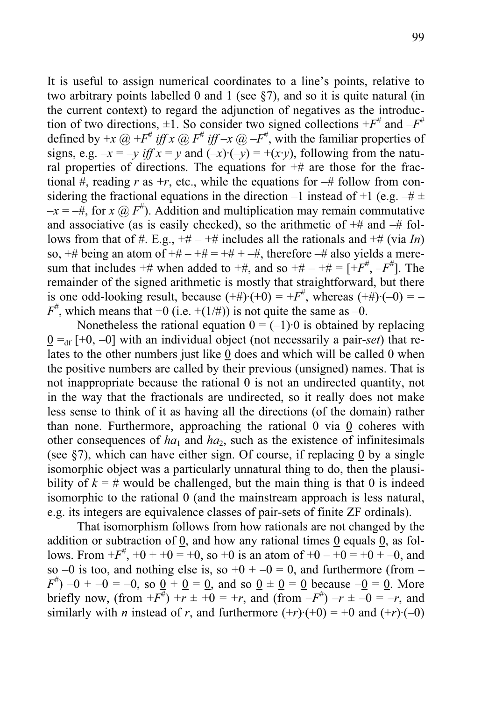It is useful to assign numerical coordinates to a line's points, relative to two arbitrary points labelled 0 and 1 (see §7), and so it is quite natural (in the current context) to regard the adjunction of negatives as the introduction of two directions,  $\pm 1$ . So consider two signed collections  $+F^*$  and  $-F^*$ defined by  $+x \omega + F^*$  *iff*  $x \omega + F^*$  *iff*  $-x \omega + F^*$ , with the familiar properties of signs, e.g.  $-x = -y$  iff  $x = y$  and  $(-x)(-y) = +(x \cdot y)$ , following from the natural properties of directions. The equations for  $#$  are those for the fractional #, reading  $r$  as  $+r$ , etc., while the equations for  $-\#$  follow from considering the fractional equations in the direction –1 instead of +1 (e.g.  $-\# \pm$  $-x = -\#$ , for *x*  $@F^{\#}$ ). Addition and multiplication may remain commutative and associative (as is easily checked), so the arithmetic of  $#$  and  $#$  follows from that of #. E.g.,  $+# - +#$  includes all the rationals and  $+#$  (via *In*) so,  $#$  being an atom of  $#$  –  $#$  =  $#$  +  $#$ , therefore  $#$  also yields a meresum that includes  $+#$  when added to  $+#$ , and so  $+# - +# = [+F^{\#}, -F^{\#}]$ . The remainder of the signed arithmetic is mostly that straightforward, but there is one odd-looking result, because  $(+\#)(+0) = +F^*$ , whereas  $(+\#)(-0) = F^{\#}$ , which means that +0 (i.e. +(1/#)) is not quite the same as -0.

Nonetheless the rational equation  $0 = (-1) \cdot 0$  is obtained by replacing  $0 =_{df} [+0, -0]$  with an individual object (not necessarily a pair-*set*) that relates to the other numbers just like 0 does and which will be called 0 when the positive numbers are called by their previous (unsigned) names. That is not inappropriate because the rational 0 is not an undirected quantity, not in the way that the fractionals are undirected, so it really does not make less sense to think of it as having all the directions (of the domain) rather than none. Furthermore, approaching the rational 0 via 0 coheres with other consequences of  $ha_1$  and  $ha_2$ , such as the existence of infinitesimals (see §7), which can have either sign. Of course, if replacing 0 by a single isomorphic object was a particularly unnatural thing to do, then the plausibility of  $k = #$  would be challenged, but the main thing is that 0 is indeed isomorphic to the rational 0 (and the mainstream approach is less natural, e.g. its integers are equivalence classes of pair-sets of finite ZF ordinals).

 That isomorphism follows from how rationals are not changed by the addition or subtraction of 0, and how any rational times 0 equals 0, as follows. From  $+F^{\#}$ ,  $+0 + +0 = +0$ , so  $+0$  is an atom of  $+0 - +0 = +0 + -0$ , and so –0 is too, and nothing else is, so  $+0 + -0 = 0$ , and furthermore (from –  $F^{\#}$ ) –0 + –0 = –0, so <u>0</u> + <u>0</u> = <u>0</u>, and so <u>0</u>  $\pm$  <u>0</u> = <u>0</u> because –<u>0</u> = <u>0</u>. More briefly now, (from  $+F^{\#}$ ) +*r*  $\pm +0 = +r$ , and (from  $-F^{\#}$ )  $-r \pm -0 = -r$ , and similarly with *n* instead of *r*, and furthermore  $(+r)(+0) = +0$  and  $(+r)(-0)$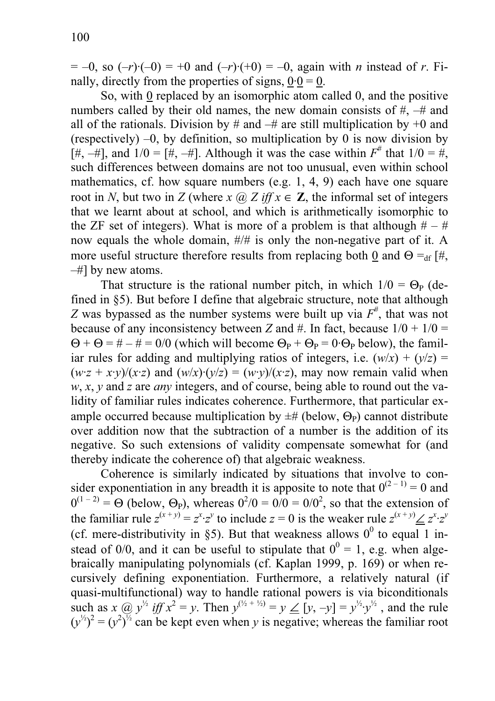$= -0$ , so  $(-r)(-0) = +0$  and  $(-r)(+0) = -0$ , again with *n* instead of *r*. Finally, directly from the properties of signs,  $0.0 = 0$ .

So, with 0 replaced by an isomorphic atom called 0, and the positive numbers called by their old names, the new domain consists of #, –# and all of the rationals. Division by # and  $-$ # are still multiplication by  $+0$  and (respectively) –0, by definition, so multiplication by 0 is now division by [#,  $-#$ ], and  $1/0 = [H, -H]$ . Although it was the case within  $F^*$  that  $1/0 = H$ , such differences between domains are not too unusual, even within school mathematics, cf. how square numbers (e.g. 1, 4, 9) each have one square root in *N*, but two in *Z* (where *x*  $\omega$  *Z* if  $x \in \mathbb{Z}$ , the informal set of integers that we learnt about at school, and which is arithmetically isomorphic to the ZF set of integers). What is more of a problem is that although  $# -#$ now equals the whole domain, #/# is only the non-negative part of it. A more useful structure therefore results from replacing both 0 and  $\Theta =_{df} [#$ , –#] by new atoms.

That structure is the rational number pitch, in which  $1/0 = \Theta_P$  (defined in §5). But before I define that algebraic structure, note that although *Z* was bypassed as the number systems were built up via  $F^*$ , that was not because of any inconsistency between *Z* and #. In fact, because  $1/0 + 1/0 =$  $\Theta$  +  $\Theta$  = # – # = 0/0 (which will become  $\Theta_P$  +  $\Theta_P$  = 0 $\cdot$   $\Theta_P$  below), the familiar rules for adding and multiplying ratios of integers, i.e.  $(w/x) + (v/z) =$  $(wz + x \cdot y)/(x \cdot z)$  and  $(w/x) \cdot (y/z) = (w \cdot y)/(x \cdot z)$ , may now remain valid when *w*, *x*, *y* and *z* are *any* integers, and of course, being able to round out the validity of familiar rules indicates coherence. Furthermore, that particular example occurred because multiplication by  $\pm \#$  (below,  $\Theta_P$ ) cannot distribute over addition now that the subtraction of a number is the addition of its negative. So such extensions of validity compensate somewhat for (and thereby indicate the coherence of) that algebraic weakness.

Coherence is similarly indicated by situations that involve to consider exponentiation in any breadth it is apposite to note that  $0^{(2-1)} = 0$  and  $0^{(1-2)} = \Theta$  (below,  $\Theta_P$ ), whereas  $0^2/0 = 0/0 = 0/0^2$ , so that the extension of the familiar rule  $z^{(x+y)} = z^x \cdot z^y$  to include  $z = 0$  is the weaker rule  $z^{(x+y)} \leq z^x \cdot z^y$ (cf. mere-distributivity in §5). But that weakness allows  $0^0$  to equal 1 instead of 0/0, and it can be useful to stipulate that  $0^0 = 1$ , e.g. when algebraically manipulating polynomials (cf. Kaplan 1999, p. 169) or when recursively defining exponentiation. Furthermore, a relatively natural (if quasi-multifunctional) way to handle rational powers is via biconditionals such as *x* @  $y^{\frac{1}{2}}$  *iff*  $x^2 = y$ . Then  $y^{(\frac{1}{2} + \frac{1}{2})} = y \leq [y, -y] = y^{\frac{1}{2}} \cdot y^{\frac{1}{2}}$ , and the rule  $(y^{1/2})^2 = (y^2)^{1/2}$  can be kept even when *y* is negative; whereas the familiar root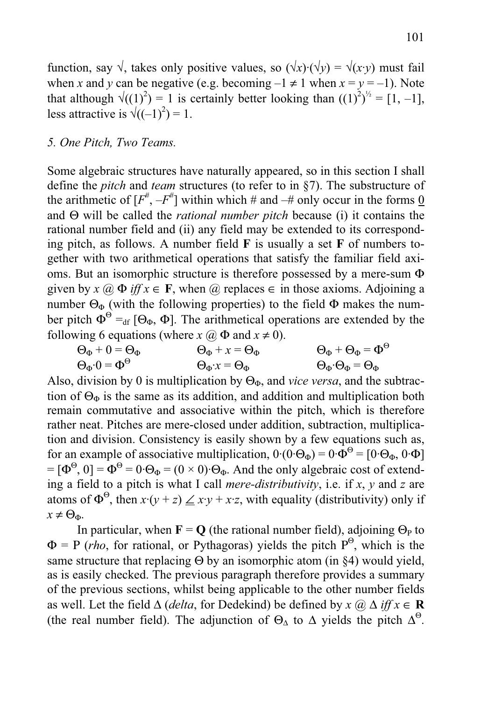function, say  $\sqrt{x}$ , takes only positive values, so  $(\sqrt{x})(\sqrt{y}) = \sqrt{x(y)}$  must fail when *x* and *y* can be negative (e.g. becoming  $-1 \neq 1$  when  $x = y = -1$ ). Note that although  $\sqrt{(1)^2}$  = 1 is certainly better looking than  $((1)^2)^{1/2} = [1, -1]$ , less attractive is  $\sqrt{((-1)^2)} = 1$ .

### *5. One Pitch, Two Teams.*

Some algebraic structures have naturally appeared, so in this section I shall define the *pitch* and *team* structures (to refer to in §7). The substructure of the arithmetic of  $[F^{\#}, -F^{\#}]$  within which # and  $-\#$  only occur in the forms <u>0</u> and Θ will be called the *rational number pitch* because (i) it contains the rational number field and (ii) any field may be extended to its corresponding pitch, as follows. A number field **F** is usually a set **F** of numbers together with two arithmetical operations that satisfy the familiar field axioms. But an isomorphic structure is therefore possessed by a mere-sum Φ given by  $x \ (\partial \Phi \text{ iff } x \in \mathbf{F})$ , when  $\ (\partial \Phi \text{ and } \partial \Phi \text{ are } \partial \Phi)$  replaces  $\epsilon$  in those axioms. Adjoining a number  $\Theta_{\Phi}$  (with the following properties) to the field  $\Phi$  makes the number pitch  $\Phi^{\Theta} =_{df} [\Theta_{\Phi}, \Phi]$ . The arithmetical operations are extended by the following 6 equations (where  $x \, (\partial \Phi)$  and  $x \neq 0$ ).

$$
\Theta_{\Phi} + 0 = \Theta_{\Phi} \qquad \Theta_{\Phi} + x = \Theta_{\Phi} \qquad \Theta_{\Phi} + \Theta_{\Phi} = \Phi^{\Theta}
$$
  

$$
\Theta_{\Phi} \cdot 0 = \Phi^{\Theta} \qquad \Theta_{\Phi} \cdot x = \Theta_{\Phi} \qquad \Theta_{\Phi} \cdot \Theta_{\Phi} = \Theta_{\Phi}
$$

Also, division by 0 is multiplication by  $\Theta_{\Phi}$ , and *vice versa*, and the subtraction of  $\Theta_{\Phi}$  is the same as its addition, and addition and multiplication both remain commutative and associative within the pitch, which is therefore rather neat. Pitches are mere-closed under addition, subtraction, multiplication and division. Consistency is easily shown by a few equations such as, for an example of associative multiplication,  $0 \cdot (0 \cdot \Theta_{\Phi}) = 0 \cdot \hat{\Phi}^{\Theta} = [0 \cdot \Theta_{\Phi}, 0 \cdot \Phi]$  $= [\Phi^{\Theta}, 0] = \Phi^{\Theta} = 0 \cdot \Theta_{\Phi} = (0 \times 0) \cdot \Theta_{\Phi}$ . And the only algebraic cost of extending a field to a pitch is what I call *mere-distributivity*, i.e. if *x*, *y* and *z* are atoms of  $\Phi^{\Theta}$ , then  $x \cdot (y + z) \leq x \cdot y + x \cdot z$ , with equality (distributivity) only if  $x \neq \Theta_{\Phi}$ .

In particular, when  $\mathbf{F} = \mathbf{O}$  (the rational number field), adjoining  $\Theta_{\rm P}$  to  $\Phi = P(rho)$ , for rational, or Pythagoras) yields the pitch  $P^{\Theta}$ , which is the same structure that replacing  $\Theta$  by an isomorphic atom (in §4) would yield, as is easily checked. The previous paragraph therefore provides a summary of the previous sections, whilst being applicable to the other number fields as well. Let the field ∆ (*delta*, for Dedekind) be defined by *x* @ ∆ *iff x* ∈ **R** (the real number field). The adjunction of  $\Theta_{\Delta}$  to  $\Delta$  yields the pitch  $\Delta^{\Theta}$ .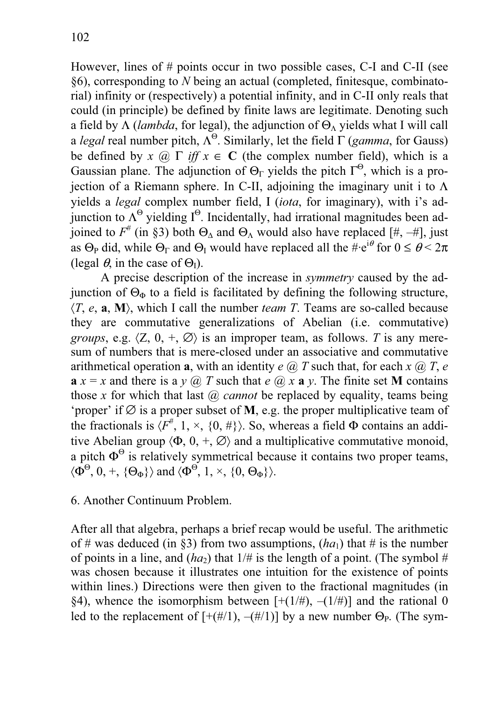However, lines of # points occur in two possible cases, C-I and C-II (see §6), corresponding to *N* being an actual (completed, finitesque, combinatorial) infinity or (respectively) a potential infinity, and in C-II only reals that could (in principle) be defined by finite laws are legitimate. Denoting such a field by  $\Lambda$  (*lambda*, for legal), the adjunction of  $\Theta_{\Lambda}$  yields what I will call a *legal* real number pitch,  $\Lambda^{\Theta}$ . Similarly, let the field  $\Gamma$  (*gamma*, for Gauss) be defined by *x* @  $\Gamma$  *iff x*  $\in$  **C** (the complex number field), which is a Gaussian plane. The adjunction of  $\Theta_{\Gamma}$  yields the pitch  $\Gamma^{\Theta}$ , which is a projection of a Riemann sphere. In C-II, adjoining the imaginary unit i to  $\Lambda$ yields a *legal* complex number field, Ι (*iota*, for imaginary), with i's adjunction to  $\Lambda^{\Theta}$  yielding I<sup> $\Theta$ </sup>. Incidentally, had irrational magnitudes been adjoined to  $F^{\#}$  (in §3) both  $\Theta_{\Delta}$  and  $\Theta_{\Lambda}$  would also have replaced [#, -#], just as  $\Theta_P$  did, while  $\Theta_{\Gamma}$  and  $\Theta_{\Gamma}$  would have replaced all the  $\#\mathrm{e}^{\mathrm{i}\theta}$  for  $0 \leq \theta \leq 2\pi$ (legal  $\theta$ , in the case of  $\Theta$ <sub>I</sub>).

 A precise description of the increase in *symmetry* caused by the adjunction of  $\Theta_{\Phi}$  to a field is facilitated by defining the following structure,  $\langle T, e, a, M \rangle$ , which I call the number *team T*. Teams are so-called because they are commutative generalizations of Abelian (i.e. commutative) *groups*, e.g.  $\langle Z, 0, +, \emptyset \rangle$  is an improper team, as follows. *T* is any meresum of numbers that is mere-closed under an associative and commutative arithmetical operation **a**, with an identity  $e \ (\overline{a}) T$  such that, for each  $x \ (\overline{a}) T$ ,  $e$ **a**  $x = x$  and there is a  $y(\mathbf{a})$  *T* such that *e*  $(\mathbf{a})$  *x* **a**  $y$ . The finite set **M** contains those *x* for which that last *(a) cannot* be replaced by equality, teams being 'proper' if  $\emptyset$  is a proper subset of **M**, e.g. the proper multiplicative team of the fractionals is  $\langle F^{\#}, 1, \times, \{0, \# \} \rangle$ . So, whereas a field  $\Phi$  contains an additive Abelian group  $\langle \Phi, 0, +, \emptyset \rangle$  and a multiplicative commutative monoid, a pitch  $\Phi^{\Theta}$  is relatively symmetrical because it contains two proper teams,  $\langle \Phi^{\Theta}, 0, +, \{\Theta_{\Phi}\} \rangle$  and  $\langle \Phi^{\Theta}, 1, \times, \{0, \Theta_{\Phi}\} \rangle$ .

6. Another Continuum Problem.

After all that algebra, perhaps a brief recap would be useful. The arithmetic of # was deduced (in §3) from two assumptions,  $(ha_1)$  that # is the number of points in a line, and  $(ha_2)$  that  $1/\#$  is the length of a point. (The symbol  $\#$ was chosen because it illustrates one intuition for the existence of points within lines.) Directions were then given to the fractional magnitudes (in §4), whence the isomorphism between  $[+(1/\#), -(1/\#)]$  and the rational 0 led to the replacement of  $[+(#/1), -(#/1)]$  by a new number  $\Theta_{P}$ . (The sym-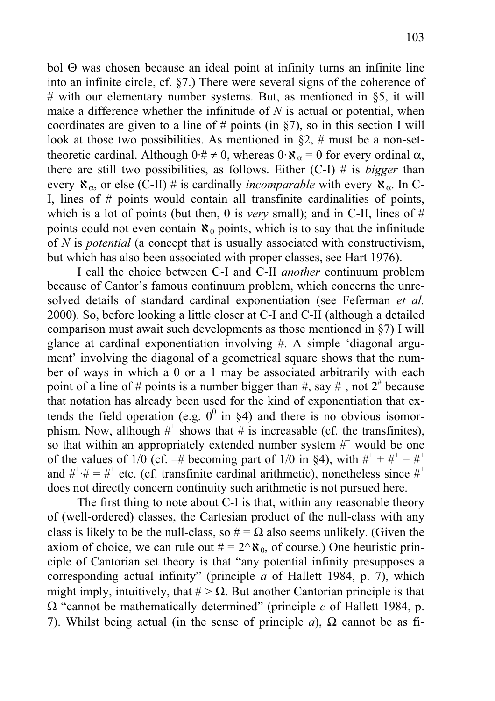bol Θ was chosen because an ideal point at infinity turns an infinite line into an infinite circle, cf. §7.) There were several signs of the coherence of # with our elementary number systems. But, as mentioned in  $\S5$ , it will make a difference whether the infinitude of *N* is actual or potential, when coordinates are given to a line of  $#$  points (in §7), so in this section I will look at those two possibilities. As mentioned in  $\S2$ , # must be a non-settheoretic cardinal. Although  $0 \cdot \# \neq 0$ , whereas  $0 \cdot \mathcal{R}_{\alpha} = 0$  for every ordinal  $\alpha$ , there are still two possibilities, as follows. Either (C-I) # is *bigger* than every  $\aleph_{\alpha}$ , or else (C-II) # is cardinally *incomparable* with every  $\aleph_{\alpha}$ . In C-I, lines of # points would contain all transfinite cardinalities of points, which is a lot of points (but then, 0 is *very* small); and in C-II, lines of  $#$ points could not even contain  $\aleph_0$  points, which is to say that the infinitude of *N* is *potential* (a concept that is usually associated with constructivism, but which has also been associated with proper classes, see Hart 1976).

I call the choice between C-I and C-II *another* continuum problem because of Cantor's famous continuum problem, which concerns the unresolved details of standard cardinal exponentiation (see Feferman *et al.* 2000). So, before looking a little closer at C-I and C-II (although a detailed comparison must await such developments as those mentioned in §7) I will glance at cardinal exponentiation involving #. A simple 'diagonal argument' involving the diagonal of a geometrical square shows that the number of ways in which a 0 or a 1 may be associated arbitrarily with each point of a line of # points is a number bigger than #, say #<sup>+</sup>, not  $2^{\#}$  because that notation has already been used for the kind of exponentiation that extends the field operation (e.g.  $0^0$  in §4) and there is no obvious isomorphism. Now, although  $#^+$  shows that  $#$  is increasable (cf. the transfinites), so that within an appropriately extended number system  $#$  would be one of the values of 1/0 (cf.  $-$ # becoming part of 1/0 in §4), with  $#$ <sup>+</sup> +  $#$ <sup>+</sup> =  $#$ <sup>+</sup> and  $\#^+\# = \#^+$  etc. (cf. transfinite cardinal arithmetic), nonetheless since  $\#^+$ does not directly concern continuity such arithmetic is not pursued here.

 The first thing to note about C-I is that, within any reasonable theory of (well-ordered) classes, the Cartesian product of the null-class with any class is likely to be the null-class, so  $# = \Omega$  also seems unlikely. (Given the axiom of choice, we can rule out  $# = 2^{\wedge} \aleph_0$ , of course.) One heuristic principle of Cantorian set theory is that "any potential infinity presupposes a corresponding actual infinity" (principle *a* of Hallett 1984, p. 7), which might imply, intuitively, that  $# > \Omega$ . But another Cantorian principle is that Ω "cannot be mathematically determined" (principle *c* of Hallett 1984, p. 7). Whilst being actual (in the sense of principle *a*),  $\Omega$  cannot be as fi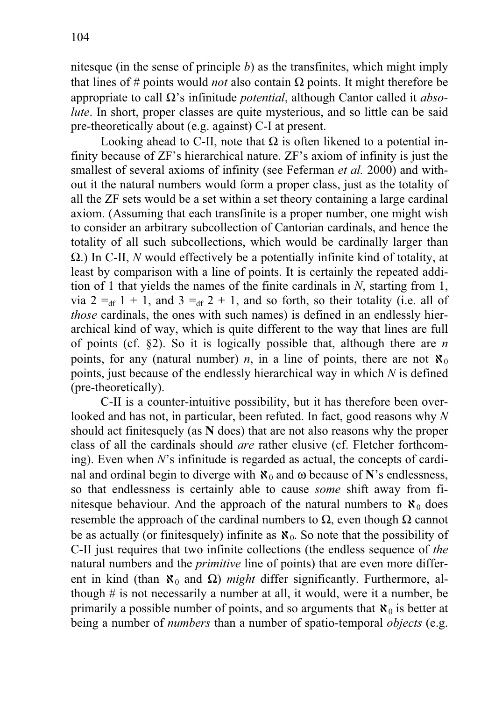nitesque (in the sense of principle *b*) as the transfinites, which might imply that lines of # points would *not* also contain Ω points. It might therefore be appropriate to call Ω's infinitude *potential*, although Cantor called it *absolute*. In short, proper classes are quite mysterious, and so little can be said pre-theoretically about (e.g. against) C-I at present.

Looking ahead to C-II, note that  $\Omega$  is often likened to a potential infinity because of ZF's hierarchical nature. ZF's axiom of infinity is just the smallest of several axioms of infinity (see Feferman *et al.* 2000) and without it the natural numbers would form a proper class, just as the totality of all the ZF sets would be a set within a set theory containing a large cardinal axiom. (Assuming that each transfinite is a proper number, one might wish to consider an arbitrary subcollection of Cantorian cardinals, and hence the totality of all such subcollections, which would be cardinally larger than Ω.) In C-II, *N* would effectively be a potentially infinite kind of totality, at least by comparison with a line of points. It is certainly the repeated addition of 1 that yields the names of the finite cardinals in *N*, starting from 1, via  $2 =_{df} 1 + 1$ , and  $3 =_{df} 2 + 1$ , and so forth, so their totality (i.e. all of *those* cardinals, the ones with such names) is defined in an endlessly hierarchical kind of way, which is quite different to the way that lines are full of points (cf. §2). So it is logically possible that, although there are *n* points, for any (natural number) *n*, in a line of points, there are not  $\aleph_0$ points, just because of the endlessly hierarchical way in which *N* is defined (pre-theoretically).

 C-II is a counter-intuitive possibility, but it has therefore been overlooked and has not, in particular, been refuted. In fact, good reasons why *N* should act finitesquely (as **N** does) that are not also reasons why the proper class of all the cardinals should *are* rather elusive (cf. Fletcher forthcoming). Even when *N*'s infinitude is regarded as actual, the concepts of cardinal and ordinal begin to diverge with  $\aleph_0$  and  $\omega$  because of **N**'s endlessness, so that endlessness is certainly able to cause *some* shift away from finitesque behaviour. And the approach of the natural numbers to  $\aleph_0$  does resemble the approach of the cardinal numbers to  $\Omega$ , even though  $\Omega$  cannot be as actually (or finitesquely) infinite as  $\aleph_0$ . So note that the possibility of C-II just requires that two infinite collections (the endless sequence of *the* natural numbers and the *primitive* line of points) that are even more different in kind (than  $\aleph_0$  and  $\Omega$ ) *might* differ significantly. Furthermore, although # is not necessarily a number at all, it would, were it a number, be primarily a possible number of points, and so arguments that  $\aleph_0$  is better at being a number of *numbers* than a number of spatio-temporal *objects* (e.g.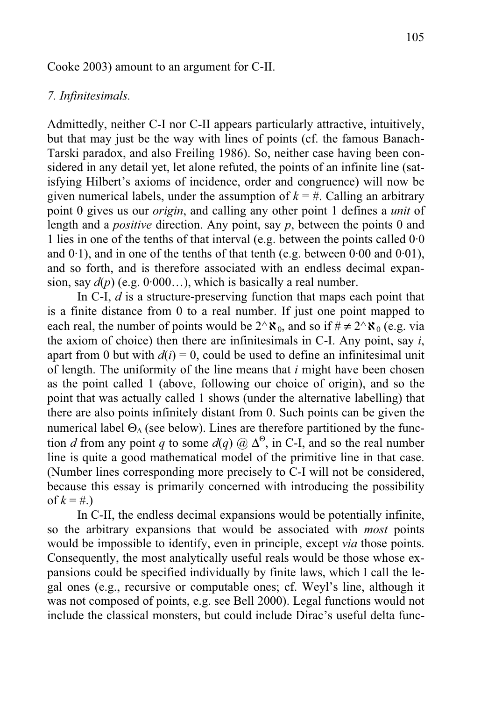#### Cooke 2003) amount to an argument for C-II.

## *7. Infinitesimals.*

Admittedly, neither C-I nor C-II appears particularly attractive, intuitively, but that may just be the way with lines of points (cf. the famous Banach-Tarski paradox, and also Freiling 1986). So, neither case having been considered in any detail yet, let alone refuted, the points of an infinite line (satisfying Hilbert's axioms of incidence, order and congruence) will now be given numerical labels, under the assumption of  $k = #$ . Calling an arbitrary point 0 gives us our *origin*, and calling any other point 1 defines a *unit* of length and a *positive* direction. Any point, say *p*, between the points 0 and 1 lies in one of the tenths of that interval (e.g. between the points called 0·0 and  $0.1$ ), and in one of the tenths of that tenth (e.g. between  $0.00$  and  $0.01$ ), and so forth, and is therefore associated with an endless decimal expansion, say  $d(p)$  (e.g.  $0.000...$ ), which is basically a real number.

 In C-I, *d* is a structure-preserving function that maps each point that is a finite distance from 0 to a real number. If just one point mapped to each real, the number of points would be  $2^{\wedge}\mathbf{X}_0$ , and so if  $\#\neq 2^{\wedge}\mathbf{X}_0$  (e.g. via the axiom of choice) then there are infinitesimals in C-I. Any point, say *i*, apart from 0 but with  $d(i) = 0$ , could be used to define an infinitesimal unit of length. The uniformity of the line means that *i* might have been chosen as the point called 1 (above, following our choice of origin), and so the point that was actually called 1 shows (under the alternative labelling) that there are also points infinitely distant from 0. Such points can be given the numerical label  $\Theta_{\Lambda}$  (see below). Lines are therefore partitioned by the function *d* from any point *q* to some  $d(q)$  @  $\Delta^{\Theta}$ , in C-I, and so the real number line is quite a good mathematical model of the primitive line in that case. (Number lines corresponding more precisely to C-I will not be considered, because this essay is primarily concerned with introducing the possibility of  $k = #$ .)

 In C-II, the endless decimal expansions would be potentially infinite, so the arbitrary expansions that would be associated with *most* points would be impossible to identify, even in principle, except *via* those points. Consequently, the most analytically useful reals would be those whose expansions could be specified individually by finite laws, which I call the legal ones (e.g., recursive or computable ones; cf. Weyl's line, although it was not composed of points, e.g. see Bell 2000). Legal functions would not include the classical monsters, but could include Dirac's useful delta func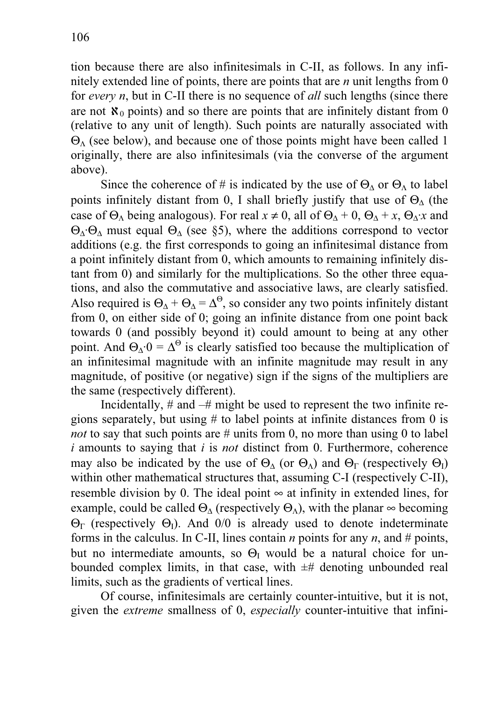tion because there are also infinitesimals in C-II, as follows. In any infinitely extended line of points, there are points that are *n* unit lengths from 0 for *every n*, but in C-II there is no sequence of *all* such lengths (since there are not  $\aleph_0$  points) and so there are points that are infinitely distant from 0 (relative to any unit of length). Such points are naturally associated with  $\Theta_{\Lambda}$  (see below), and because one of those points might have been called 1 originally, there are also infinitesimals (via the converse of the argument above).

Since the coherence of # is indicated by the use of  $\Theta_{\Lambda}$  or  $\Theta_{\Lambda}$  to label points infinitely distant from 0, I shall briefly justify that use of  $\Theta_{\Delta}$  (the case of  $\Theta_{\Lambda}$  being analogous). For real  $x \neq 0$ , all of  $\Theta_{\Lambda} + 0$ ,  $\Theta_{\Lambda} + x$ ,  $\Theta_{\Lambda} \cdot x$  and  $Θ<sub>Δ</sub>·Θ<sub>Δ</sub>$  must equal  $Θ<sub>Δ</sub>$  (see §5), where the additions correspond to vector additions (e.g. the first corresponds to going an infinitesimal distance from a point infinitely distant from 0, which amounts to remaining infinitely distant from 0) and similarly for the multiplications. So the other three equations, and also the commutative and associative laws, are clearly satisfied. Also required is  $\Theta_{\Delta} + \Theta_{\Delta} = \Delta^{\Theta}$ , so consider any two points infinitely distant from 0, on either side of 0; going an infinite distance from one point back towards 0 (and possibly beyond it) could amount to being at any other point. And  $\Theta_{\Delta}$  0 =  $\Delta^{\Theta}$  is clearly satisfied too because the multiplication of an infinitesimal magnitude with an infinite magnitude may result in any magnitude, of positive (or negative) sign if the signs of the multipliers are the same (respectively different).

 Incidentally, # and –# might be used to represent the two infinite regions separately, but using # to label points at infinite distances from 0 is *not* to say that such points are # units from 0, no more than using 0 to label *i* amounts to saying that *i* is *not* distinct from 0. Furthermore, coherence may also be indicated by the use of  $\Theta_{\Lambda}$  (or  $\Theta_{\Lambda}$ ) and  $\Theta_{\Gamma}$  (respectively  $\Theta_{\Gamma}$ ) within other mathematical structures that, assuming C-I (respectively C-II), resemble division by 0. The ideal point  $\infty$  at infinity in extended lines, for example, could be called  $\Theta_{\Lambda}$  (respectively  $\Theta_{\Lambda}$ ), with the planar  $\infty$  becoming  $\Theta_{\Gamma}$  (respectively  $\Theta_{\Gamma}$ ). And 0/0 is already used to denote indeterminate forms in the calculus. In C-II, lines contain *n* points for any *n*, and  $#$  points, but no intermediate amounts, so  $\Theta$ <sub>I</sub> would be a natural choice for unbounded complex limits, in that case, with  $\pm$ # denoting unbounded real limits, such as the gradients of vertical lines.

 Of course, infinitesimals are certainly counter-intuitive, but it is not, given the *extreme* smallness of 0, *especially* counter-intuitive that infini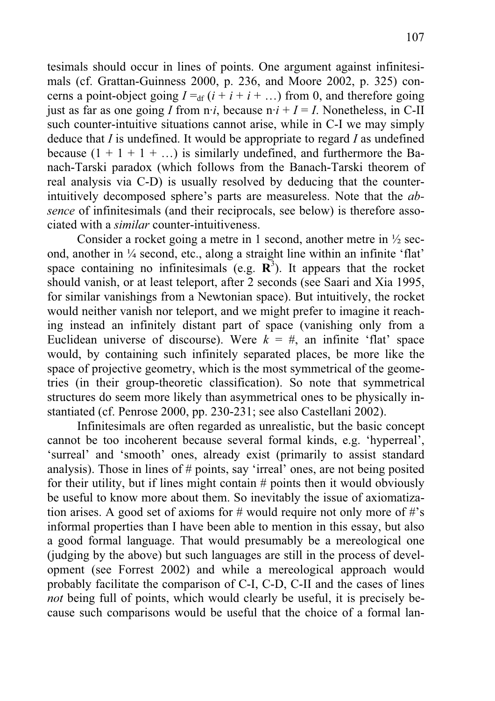tesimals should occur in lines of points. One argument against infinitesimals (cf. Grattan-Guinness 2000, p. 236, and Moore 2002, p. 325) concerns a point-object going  $I =_{df} (i + i + i + ...)$  from 0, and therefore going just as far as one going *I* from  $n \cdot i$ , because  $n \cdot i + I = I$ . Nonetheless, in C-II such counter-intuitive situations cannot arise, while in C-I we may simply deduce that *I* is undefined. It would be appropriate to regard *I* as undefined because  $(1 + 1 + 1 + ...)$  is similarly undefined, and furthermore the Banach-Tarski paradox (which follows from the Banach-Tarski theorem of real analysis via C-D) is usually resolved by deducing that the counterintuitively decomposed sphere's parts are measureless. Note that the *absence* of infinitesimals (and their reciprocals, see below) is therefore associated with a *similar* counter-intuitiveness.

 Consider a rocket going a metre in 1 second, another metre in ½ second, another in ¼ second, etc., along a straight line within an infinite 'flat' space containing no infinitesimals (e.g.  $\mathbb{R}^3$ ). It appears that the rocket should vanish, or at least teleport, after 2 seconds (see Saari and Xia 1995, for similar vanishings from a Newtonian space). But intuitively, the rocket would neither vanish nor teleport, and we might prefer to imagine it reaching instead an infinitely distant part of space (vanishing only from a Euclidean universe of discourse). Were  $k = #$ , an infinite 'flat' space would, by containing such infinitely separated places, be more like the space of projective geometry, which is the most symmetrical of the geometries (in their group-theoretic classification). So note that symmetrical structures do seem more likely than asymmetrical ones to be physically instantiated (cf. Penrose 2000, pp. 230-231; see also Castellani 2002).

 Infinitesimals are often regarded as unrealistic, but the basic concept cannot be too incoherent because several formal kinds, e.g. 'hyperreal', 'surreal' and 'smooth' ones, already exist (primarily to assist standard analysis). Those in lines of # points, say 'irreal' ones, are not being posited for their utility, but if lines might contain # points then it would obviously be useful to know more about them. So inevitably the issue of axiomatization arises. A good set of axioms for # would require not only more of #'s informal properties than I have been able to mention in this essay, but also a good formal language. That would presumably be a mereological one (judging by the above) but such languages are still in the process of development (see Forrest 2002) and while a mereological approach would probably facilitate the comparison of C-I, C-D, C-II and the cases of lines *not* being full of points, which would clearly be useful, it is precisely because such comparisons would be useful that the choice of a formal lan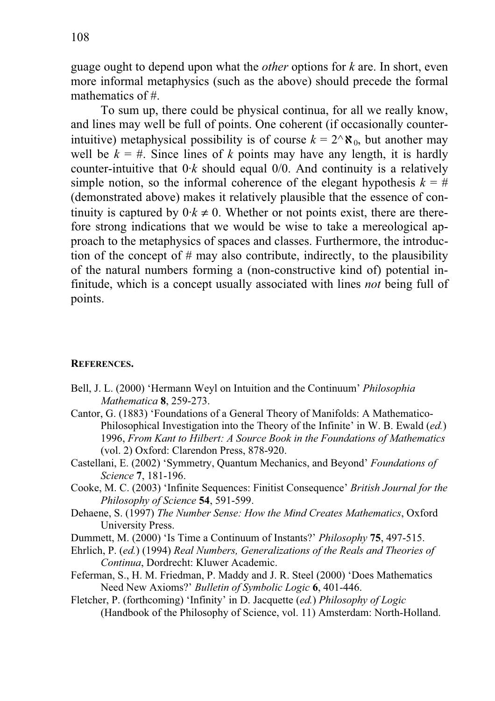guage ought to depend upon what the *other* options for *k* are. In short, even more informal metaphysics (such as the above) should precede the formal mathematics of #.

 To sum up, there could be physical continua, for all we really know, and lines may well be full of points. One coherent (if occasionally counterintuitive) metaphysical possibility is of course  $k = 2^k \aleph_0$ , but another may well be  $k = #$ . Since lines of *k* points may have any length, it is hardly counter-intuitive that  $0 \cdot k$  should equal  $0/0$ . And continuity is a relatively simple notion, so the informal coherence of the elegant hypothesis  $k = #$ (demonstrated above) makes it relatively plausible that the essence of continuity is captured by  $0 \cdot k \neq 0$ . Whether or not points exist, there are therefore strong indications that we would be wise to take a mereological approach to the metaphysics of spaces and classes. Furthermore, the introduction of the concept of # may also contribute, indirectly, to the plausibility of the natural numbers forming a (non-constructive kind of) potential infinitude, which is a concept usually associated with lines *not* being full of points.

## **REFERENCES.**

- Bell, J. L. (2000) 'Hermann Weyl on Intuition and the Continuum' *Philosophia Mathematica* **8**, 259-273.
- Cantor, G. (1883) 'Foundations of a General Theory of Manifolds: A Mathematico-Philosophical Investigation into the Theory of the Infinite' in W. B. Ewald (*ed.*) 1996, *From Kant to Hilbert: A Source Book in the Foundations of Mathematics* (vol. 2) Oxford: Clarendon Press, 878-920.
- Castellani, E. (2002) 'Symmetry, Quantum Mechanics, and Beyond' *Foundations of Science* **7**, 181-196.
- Cooke, M. C. (2003) 'Infinite Sequences: Finitist Consequence' *British Journal for the Philosophy of Science* **54**, 591-599.
- Dehaene, S. (1997) *The Number Sense: How the Mind Creates Mathematics*, Oxford University Press.
- Dummett, M. (2000) 'Is Time a Continuum of Instants?' *Philosophy* **75**, 497-515.
- Ehrlich, P. (*ed.*) (1994) *Real Numbers, Generalizations of the Reals and Theories of Continua*, Dordrecht: Kluwer Academic.
- Feferman, S., H. M. Friedman, P. Maddy and J. R. Steel (2000) 'Does Mathematics Need New Axioms?' *Bulletin of Symbolic Logic* **6**, 401-446.
- Fletcher, P. (forthcoming) 'Infinity' in D. Jacquette (*ed.*) *Philosophy of Logic* (Handbook of the Philosophy of Science, vol. 11) Amsterdam: North-Holland.